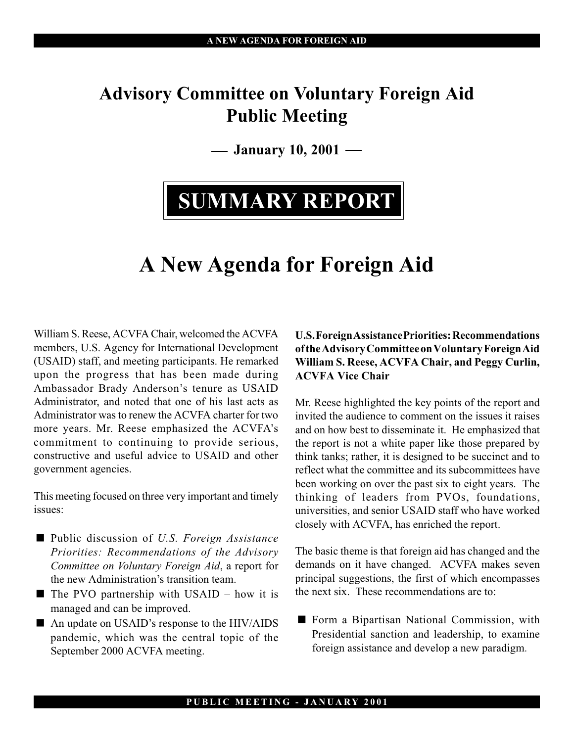### Advisory Committee on Voluntary Foreign Aid Public Meeting

 $-$  January 10, 2001  $-$ 

# SUMMARY REPORT

## A New Agenda for Foreign Aid

William S. Reese, ACVFA Chair, welcomed the ACVFA members, U.S. Agency for International Development (USAID) staff, and meeting participants. He remarked upon the progress that has been made during Ambassador Brady Anderson's tenure as USAID Administrator, and noted that one of his last acts as Administrator was to renew the ACVFA charter for two more years. Mr. Reese emphasized the ACVFA's commitment to continuing to provide serious, constructive and useful advice to USAID and other government agencies.

This meeting focused on three very important and timely issues:

- Public discussion of U.S. Foreign Assistance Priorities: Recommendations of the Advisory Committee on Voluntary Foreign Aid, a report for the new Administration's transition team.
- $\blacksquare$  The PVO partnership with USAID how it is managed and can be improved.
- An update on USAID's response to the HIV/AIDS pandemic, which was the central topic of the September 2000 ACVFA meeting.

#### U.S. Foreign Assistance Priorities: Recommendations of the Advisory Committee on Voluntary Foreign Aid William S. Reese, ACVFA Chair, and Peggy Curlin, ACVFA Vice Chair

Mr. Reese highlighted the key points of the report and invited the audience to comment on the issues it raises and on how best to disseminate it. He emphasized that the report is not a white paper like those prepared by think tanks; rather, it is designed to be succinct and to reflect what the committee and its subcommittees have been working on over the past six to eight years. The thinking of leaders from PVOs, foundations, universities, and senior USAID staff who have worked closely with ACVFA, has enriched the report.

The basic theme is that foreign aid has changed and the demands on it have changed. ACVFA makes seven principal suggestions, the first of which encompasses the next six. These recommendations are to:

■ Form a Bipartisan National Commission, with Presidential sanction and leadership, to examine foreign assistance and develop a new paradigm.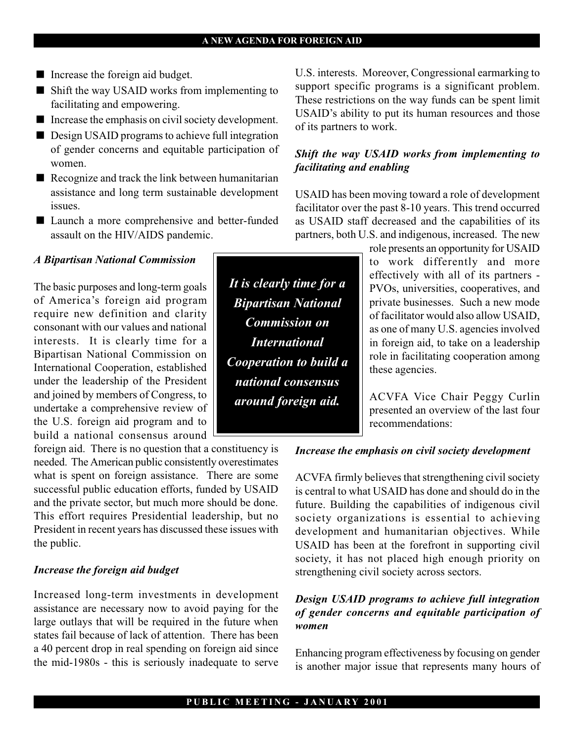- Increase the foreign aid budget.
- Shift the way USAID works from implementing to facilitating and empowering.
- Increase the emphasis on civil society development.
- **Design USAID programs to achieve full integration** of gender concerns and equitable participation of women.
- Recognize and track the link between humanitarian assistance and long term sustainable development issues.
- Launch a more comprehensive and better-funded assault on the HIV/AIDS pandemic.

#### A Bipartisan National Commission

The basic purposes and long-term goals of America's foreign aid program require new definition and clarity consonant with our values and national interests. It is clearly time for a Bipartisan National Commission on International Cooperation, established under the leadership of the President and joined by members of Congress, to undertake a comprehensive review of the U.S. foreign aid program and to build a national consensus around

foreign aid. There is no question that a constituency is needed. The American public consistently overestimates what is spent on foreign assistance. There are some successful public education efforts, funded by USAID and the private sector, but much more should be done. This effort requires Presidential leadership, but no President in recent years has discussed these issues with the public.

#### Increase the foreign aid budget

Increased long-term investments in development assistance are necessary now to avoid paying for the large outlays that will be required in the future when states fail because of lack of attention. There has been a 40 percent drop in real spending on foreign aid since the mid-1980s - this is seriously inadequate to serve

U.S. interests. Moreover, Congressional earmarking to support specific programs is a significant problem. These restrictions on the way funds can be spent limit USAID's ability to put its human resources and those of its partners to work.

#### Shift the way USAID works from implementing to facilitating and enabling

USAID has been moving toward a role of development facilitator over the past 8-10 years. This trend occurred as USAID staff decreased and the capabilities of its partners, both U.S. and indigenous, increased. The new

role presents an opportunity for USAID to work differently and more effectively with all of its partners - PVOs, universities, cooperatives, and private businesses. Such a new mode of facilitator would also allow USAID, as one of many U.S. agencies involved in foreign aid, to take on a leadership role in facilitating cooperation among these agencies.

ACVFA Vice Chair Peggy Curlin presented an overview of the last four recommendations:

#### Increase the emphasis on civil society development

ACVFA firmly believes that strengthening civil society is central to what USAID has done and should do in the future. Building the capabilities of indigenous civil society organizations is essential to achieving development and humanitarian objectives. While USAID has been at the forefront in supporting civil society, it has not placed high enough priority on strengthening civil society across sectors.

#### Design USAID programs to achieve full integration of gender concerns and equitable participation of women

Enhancing program effectiveness by focusing on gender is another major issue that represents many hours of

It is clearly time for a Bipartisan National Commission on **International** Cooperation to build a national consensus around foreign aid.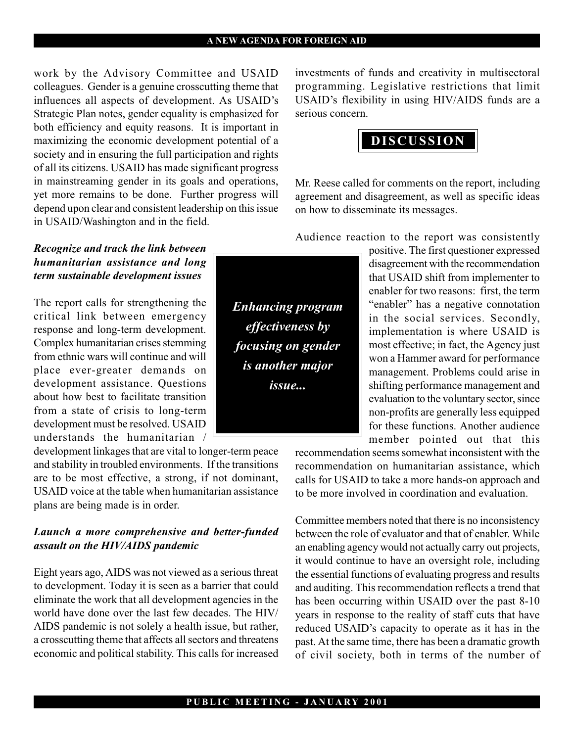#### A NEW AGENDA FOR FOREIGN AID

work by the Advisory Committee and USAID colleagues. Gender is a genuine crosscutting theme that influences all aspects of development. As USAID's Strategic Plan notes, gender equality is emphasized for both efficiency and equity reasons. It is important in maximizing the economic development potential of a society and in ensuring the full participation and rights of all its citizens. USAID has made significant progress in mainstreaming gender in its goals and operations, yet more remains to be done. Further progress will depend upon clear and consistent leadership on this issue in USAID/Washington and in the field.

#### Recognize and track the link between humanitarian assistance and long term sustainable development issues

The report calls for strengthening the critical link between emergency response and long-term development. Complex humanitarian crises stemming from ethnic wars will continue and will place ever-greater demands on development assistance. Questions about how best to facilitate transition from a state of crisis to long-term development must be resolved. USAID understands the humanitarian /

development linkages that are vital to longer-term peace and stability in troubled environments. If the transitions are to be most effective, a strong, if not dominant, USAID voice at the table when humanitarian assistance plans are being made is in order.

#### Launch a more comprehensive and better-funded assault on the HIV/AIDS pandemic

Eight years ago, AIDS was not viewed as a serious threat to development. Today it is seen as a barrier that could eliminate the work that all development agencies in the world have done over the last few decades. The HIV/ AIDS pandemic is not solely a health issue, but rather, a crosscutting theme that affects all sectors and threatens economic and political stability. This calls for increased

investments of funds and creativity in multisectoral programming. Legislative restrictions that limit USAID's flexibility in using HIV/AIDS funds are a serious concern.



Mr. Reese called for comments on the report, including agreement and disagreement, as well as specific ideas on how to disseminate its messages.

Audience reaction to the report was consistently

positive. The first questioner expressed disagreement with the recommendation that USAID shift from implementer to enabler for two reasons: first, the term "enabler" has a negative connotation in the social services. Secondly, implementation is where USAID is most effective; in fact, the Agency just won a Hammer award for performance management. Problems could arise in shifting performance management and evaluation to the voluntary sector, since non-profits are generally less equipped for these functions. Another audience member pointed out that this

recommendation seems somewhat inconsistent with the recommendation on humanitarian assistance, which calls for USAID to take a more hands-on approach and to be more involved in coordination and evaluation.

Committee members noted that there is no inconsistency between the role of evaluator and that of enabler. While an enabling agency would not actually carry out projects, it would continue to have an oversight role, including the essential functions of evaluating progress and results and auditing. This recommendation reflects a trend that has been occurring within USAID over the past 8-10 years in response to the reality of staff cuts that have reduced USAID's capacity to operate as it has in the past. At the same time, there has been a dramatic growth of civil society, both in terms of the number of

Enhancing program effectiveness by focusing on gender is another major issue...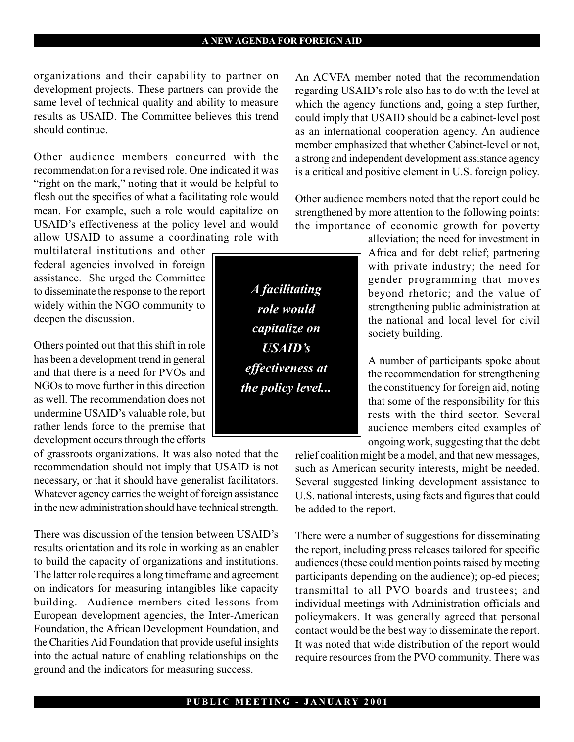organizations and their capability to partner on development projects. These partners can provide the same level of technical quality and ability to measure results as USAID. The Committee believes this trend should continue.

Other audience members concurred with the recommendation for a revised role. One indicated it was "right on the mark," noting that it would be helpful to flesh out the specifics of what a facilitating role would mean. For example, such a role would capitalize on USAID's effectiveness at the policy level and would allow USAID to assume a coordinating role with

multilateral institutions and other federal agencies involved in foreign assistance. She urged the Committee to disseminate the response to the report widely within the NGO community to deepen the discussion.

Others pointed out that this shift in role has been a development trend in general and that there is a need for PVOs and NGOs to move further in this direction as well. The recommendation does not undermine USAID's valuable role, but rather lends force to the premise that development occurs through the efforts

of grassroots organizations. It was also noted that the recommendation should not imply that USAID is not necessary, or that it should have generalist facilitators. Whatever agency carries the weight of foreign assistance in the new administration should have technical strength.

There was discussion of the tension between USAID's results orientation and its role in working as an enabler to build the capacity of organizations and institutions. The latter role requires a long timeframe and agreement on indicators for measuring intangibles like capacity building. Audience members cited lessons from European development agencies, the Inter-American Foundation, the African Development Foundation, and the Charities Aid Foundation that provide useful insights into the actual nature of enabling relationships on the ground and the indicators for measuring success.

An ACVFA member noted that the recommendation regarding USAID's role also has to do with the level at which the agency functions and, going a step further, could imply that USAID should be a cabinet-level post as an international cooperation agency. An audience member emphasized that whether Cabinet-level or not, a strong and independent development assistance agency is a critical and positive element in U.S. foreign policy.

Other audience members noted that the report could be strengthened by more attention to the following points: the importance of economic growth for poverty

alleviation; the need for investment in Africa and for debt relief; partnering with private industry; the need for gender programming that moves beyond rhetoric; and the value of strengthening public administration at the national and local level for civil society building.

A number of participants spoke about the recommendation for strengthening the constituency for foreign aid, noting that some of the responsibility for this rests with the third sector. Several audience members cited examples of ongoing work, suggesting that the debt

relief coalition might be a model, and that new messages, such as American security interests, might be needed. Several suggested linking development assistance to U.S. national interests, using facts and figures that could be added to the report.

There were a number of suggestions for disseminating the report, including press releases tailored for specific audiences (these could mention points raised by meeting participants depending on the audience); op-ed pieces; transmittal to all PVO boards and trustees; and individual meetings with Administration officials and policymakers. It was generally agreed that personal contact would be the best way to disseminate the report. It was noted that wide distribution of the report would require resources from the PVO community. There was

A facilitating role would capitalize on USAID's effectiveness at the policy level...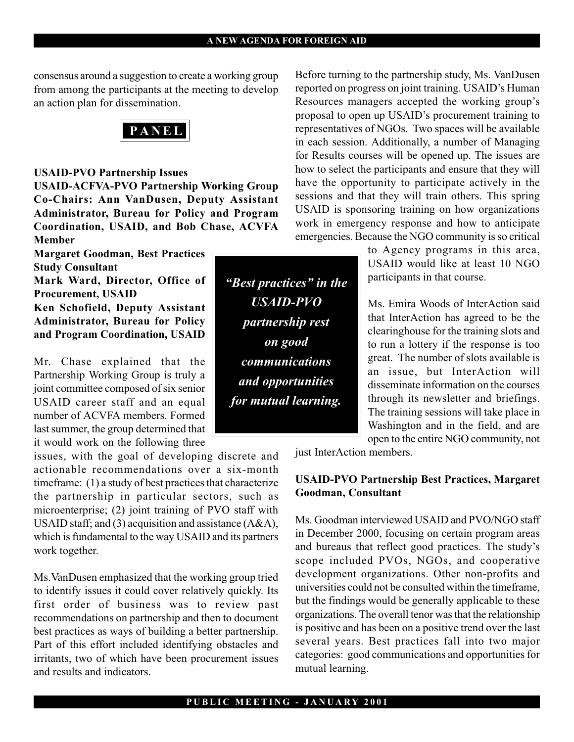consensus around a suggestion to create a working group from among the participants at the meeting to develop an action plan for dissemination.

PANEL

#### USAID-PVO Partnership Issues

USAID-ACFVA-PVO Partnership Working Group Co-Chairs: Ann VanDusen, Deputy Assistant Administrator, Bureau for Policy and Program Coordination, USAID, and Bob Chase, ACVFA Member

Margaret Goodman, Best Practices Study Consultant

Mark Ward, Director, Office of Procurement, USAID Ken Schofield, Deputy Assistant

Administrator, Bureau for Policy and Program Coordination, USAID

Mr. Chase explained that the Partnership Working Group is truly a joint committee composed of six senior USAID career staff and an equal number of ACVFA members. Formed last summer, the group determined that it would work on the following three

issues, with the goal of developing discrete and actionable recommendations over a six-month timeframe: (1) a study of best practices that characterize the partnership in particular sectors, such as microenterprise; (2) joint training of PVO staff with USAID staff; and (3) acquisition and assistance (A&A), which is fundamental to the way USAID and its partners work together.

Ms.VanDusen emphasized that the working group tried to identify issues it could cover relatively quickly. Its first order of business was to review past recommendations on partnership and then to document best practices as ways of building a better partnership. Part of this effort included identifying obstacles and irritants, two of which have been procurement issues and results and indicators.

"Best practices" in the USAID-PVO partnership rest on good communications and opportunities for mutual learning.

Before turning to the partnership study, Ms. VanDusen reported on progress on joint training. USAID's Human Resources managers accepted the working group's proposal to open up USAID's procurement training to representatives of NGOs. Two spaces will be available in each session. Additionally, a number of Managing for Results courses will be opened up. The issues are how to select the participants and ensure that they will have the opportunity to participate actively in the sessions and that they will train others. This spring USAID is sponsoring training on how organizations work in emergency response and how to anticipate emergencies. Because the NGO community is so critical

> to Agency programs in this area, USAID would like at least 10 NGO participants in that course.

> Ms. Emira Woods of InterAction said that InterAction has agreed to be the clearinghouse for the training slots and to run a lottery if the response is too great. The number of slots available is an issue, but InterAction will disseminate information on the courses through its newsletter and briefings. The training sessions will take place in Washington and in the field, and are open to the entire NGO community, not

just InterAction members.

#### USAID-PVO Partnership Best Practices, Margaret Goodman, Consultant

Ms. Goodman interviewed USAID and PVO/NGO staff in December 2000, focusing on certain program areas and bureaus that reflect good practices. The study's scope included PVOs, NGOs, and cooperative development organizations. Other non-profits and universities could not be consulted within the timeframe, but the findings would be generally applicable to these organizations. The overall tenor was that the relationship is positive and has been on a positive trend over the last several years. Best practices fall into two major categories: good communications and opportunities for mutual learning.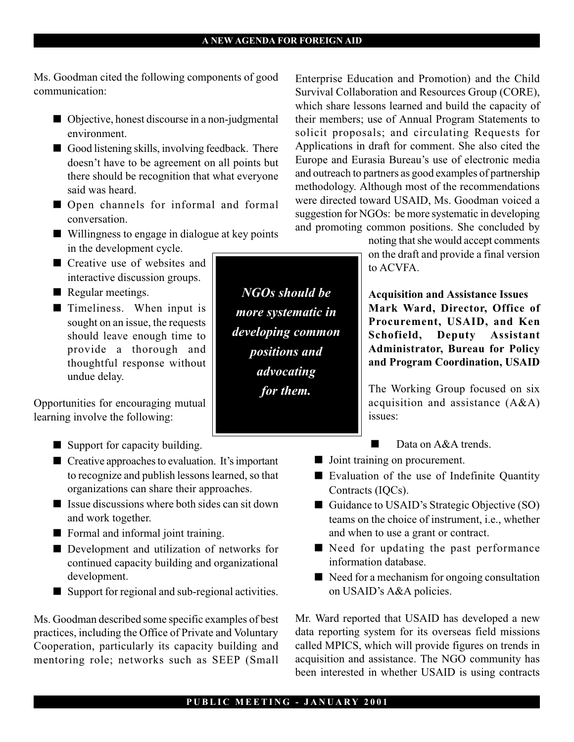Ms. Goodman cited the following components of good communication:

- Objective, honest discourse in a non-judgmental environment.
- Good listening skills, involving feedback. There doesn't have to be agreement on all points but there should be recognition that what everyone said was heard.
- **Open channels for informal and formal** conversation.
- Willingness to engage in dialogue at key points in the development cycle.
- Creative use of websites and interactive discussion groups.
- Regular meetings.
- **Timeliness.** When input is sought on an issue, the requests should leave enough time to provide a thorough and thoughtful response without undue delay.

Opportunities for encouraging mutual learning involve the following:

- Support for capacity building.
- $\blacksquare$  Creative approaches to evaluation. It's important to recognize and publish lessons learned, so that organizations can share their approaches.
- $\blacksquare$  Issue discussions where both sides can sit down and work together.
- **EXECUTE:** Formal and informal joint training.
- Development and utilization of networks for continued capacity building and organizational development.
- Support for regional and sub-regional activities.

Ms. Goodman described some specific examples of best practices, including the Office of Private and Voluntary Cooperation, particularly its capacity building and mentoring role; networks such as SEEP (Small

Enterprise Education and Promotion) and the Child Survival Collaboration and Resources Group (CORE), which share lessons learned and build the capacity of their members; use of Annual Program Statements to solicit proposals; and circulating Requests for Applications in draft for comment. She also cited the Europe and Eurasia Bureau's use of electronic media and outreach to partners as good examples of partnership methodology. Although most of the recommendations were directed toward USAID, Ms. Goodman voiced a suggestion for NGOs: be more systematic in developing and promoting common positions. She concluded by

> noting that she would accept comments on the draft and provide a final version to ACVFA.

> Acquisition and Assistance Issues Mark Ward, Director, Office of Procurement, USAID, and Ken Schofield, Deputy Assistant Administrator, Bureau for Policy and Program Coordination, USAID

> The Working Group focused on six acquisition and assistance (A&A) issues:

- $\blacksquare$ Data on A&A trends.
- **I** Joint training on procurement.
- Evaluation of the use of Indefinite Quantity Contracts (IQCs).
- Guidance to USAID's Strategic Objective (SO) teams on the choice of instrument, i.e., whether and when to use a grant or contract.
- Need for updating the past performance information database.
- $\blacksquare$  Need for a mechanism for ongoing consultation on USAID's A&A policies.

Mr. Ward reported that USAID has developed a new data reporting system for its overseas field missions called MPICS, which will provide figures on trends in acquisition and assistance. The NGO community has been interested in whether USAID is using contracts

#### PUBLIC MEETING - JANUARY 2001

NGOs should be more systematic in developing common positions and advocating for them.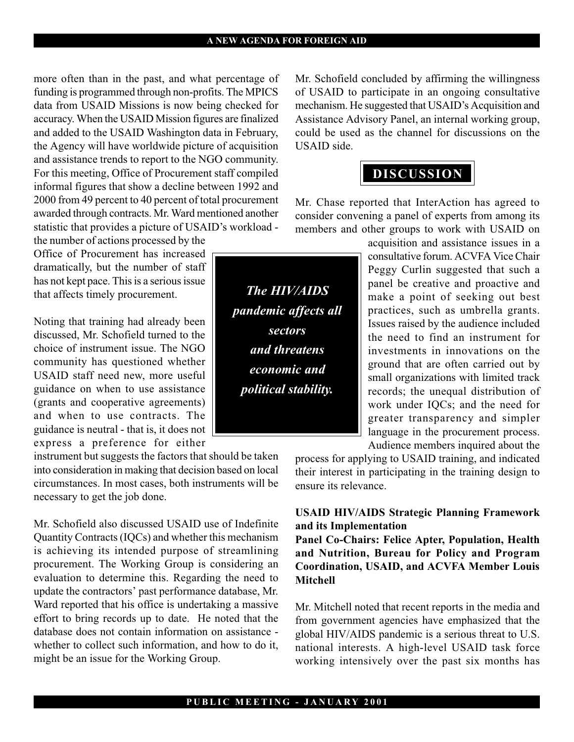#### A NEW AGENDA FOR FOREIGN AID

more often than in the past, and what percentage of funding is programmed through non-profits. The MPICS data from USAID Missions is now being checked for accuracy. When the USAID Mission figures are finalized and added to the USAID Washington data in February, the Agency will have worldwide picture of acquisition and assistance trends to report to the NGO community. For this meeting, Office of Procurement staff compiled informal figures that show a decline between 1992 and 2000 from 49 percent to 40 percent of total procurement awarded through contracts. Mr. Ward mentioned another statistic that provides a picture of USAID's workload the number of actions processed by the

Office of Procurement has increased dramatically, but the number of staff has not kept pace. This is a serious issue that affects timely procurement.

Noting that training had already been discussed, Mr. Schofield turned to the choice of instrument issue. The NGO community has questioned whether USAID staff need new, more useful guidance on when to use assistance (grants and cooperative agreements) and when to use contracts. The guidance is neutral - that is, it does not express a preference for either

instrument but suggests the factors that should be taken into consideration in making that decision based on local circumstances. In most cases, both instruments will be necessary to get the job done.

Mr. Schofield also discussed USAID use of Indefinite Quantity Contracts (IQCs) and whether this mechanism is achieving its intended purpose of streamlining procurement. The Working Group is considering an evaluation to determine this. Regarding the need to update the contractors' past performance database, Mr. Ward reported that his office is undertaking a massive effort to bring records up to date. He noted that the database does not contain information on assistance whether to collect such information, and how to do it, might be an issue for the Working Group.

Mr. Schofield concluded by affirming the willingness of USAID to participate in an ongoing consultative mechanism. He suggested that USAID's Acquisition and Assistance Advisory Panel, an internal working group, could be used as the channel for discussions on the USAID side.

### DISCUSSION

Mr. Chase reported that InterAction has agreed to consider convening a panel of experts from among its members and other groups to work with USAID on

acquisition and assistance issues in a consultative forum. ACVFA Vice Chair Peggy Curlin suggested that such a panel be creative and proactive and make a point of seeking out best practices, such as umbrella grants. Issues raised by the audience included the need to find an instrument for investments in innovations on the ground that are often carried out by small organizations with limited track records; the unequal distribution of work under IQCs; and the need for greater transparency and simpler language in the procurement process. Audience members inquired about the

process for applying to USAID training, and indicated their interest in participating in the training design to ensure its relevance.

#### USAID HIV/AIDS Strategic Planning Framework and its Implementation

Panel Co-Chairs: Felice Apter, Population, Health and Nutrition, Bureau for Policy and Program Coordination, USAID, and ACVFA Member Louis Mitchell

Mr. Mitchell noted that recent reports in the media and from government agencies have emphasized that the global HIV/AIDS pandemic is a serious threat to U.S. national interests. A high-level USAID task force working intensively over the past six months has

The HIV/AIDS pandemic affects all sectors and threatens economic and political stability.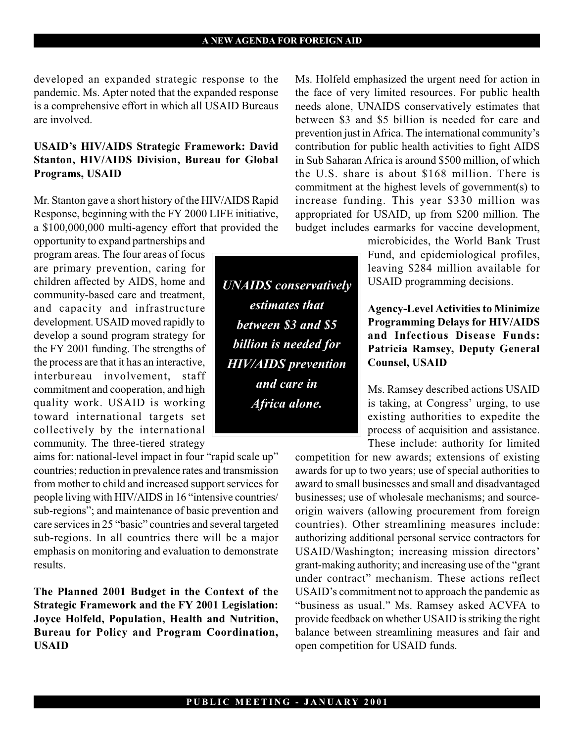developed an expanded strategic response to the pandemic. Ms. Apter noted that the expanded response is a comprehensive effort in which all USAID Bureaus are involved.

#### USAID's HIV/AIDS Strategic Framework: David Stanton, HIV/AIDS Division, Bureau for Global Programs, USAID

Mr. Stanton gave a short history of the HIV/AIDS Rapid Response, beginning with the FY 2000 LIFE initiative, a \$100,000,000 multi-agency effort that provided the

opportunity to expand partnerships and program areas. The four areas of focus are primary prevention, caring for children affected by AIDS, home and community-based care and treatment, and capacity and infrastructure development. USAID moved rapidly to develop a sound program strategy for the FY 2001 funding. The strengths of the process are that it has an interactive, interbureau involvement, staff commitment and cooperation, and high quality work. USAID is working toward international targets set collectively by the international community. The three-tiered strategy

aims for: national-level impact in four "rapid scale up" countries; reduction in prevalence rates and transmission from mother to child and increased support services for people living with HIV/AIDS in 16 "intensive countries/ sub-regions"; and maintenance of basic prevention and care services in 25 "basic" countries and several targeted sub-regions. In all countries there will be a major emphasis on monitoring and evaluation to demonstrate results.

The Planned 2001 Budget in the Context of the Strategic Framework and the FY 2001 Legislation: Joyce Holfeld, Population, Health and Nutrition, Bureau for Policy and Program Coordination, USAID

Ms. Holfeld emphasized the urgent need for action in the face of very limited resources. For public health needs alone, UNAIDS conservatively estimates that between \$3 and \$5 billion is needed for care and prevention just in Africa. The international community's contribution for public health activities to fight AIDS in Sub Saharan Africa is around \$500 million, of which the U.S. share is about \$168 million. There is commitment at the highest levels of government(s) to increase funding. This year \$330 million was appropriated for USAID, up from \$200 million. The budget includes earmarks for vaccine development,

> microbicides, the World Bank Trust Fund, and epidemiological profiles, leaving \$284 million available for USAID programming decisions.

> Agency-Level Activities to Minimize Programming Delays for HIV/AIDS and Infectious Disease Funds: Patricia Ramsey, Deputy General Counsel, USAID

> Ms. Ramsey described actions USAID is taking, at Congress' urging, to use existing authorities to expedite the process of acquisition and assistance. These include: authority for limited

competition for new awards; extensions of existing awards for up to two years; use of special authorities to award to small businesses and small and disadvantaged businesses; use of wholesale mechanisms; and sourceorigin waivers (allowing procurement from foreign countries). Other streamlining measures include: authorizing additional personal service contractors for USAID/Washington; increasing mission directors grant-making authority; and increasing use of the "grant" under contract" mechanism. These actions reflect USAID's commitment not to approach the pandemic as "business as usual." Ms. Ramsey asked ACVFA to provide feedback on whether USAID is striking the right balance between streamlining measures and fair and open competition for USAID funds.

UNAIDS conservatively estimates that between \$3 and \$5 billion is needed for HIV/AIDS prevention and care in Africa alone.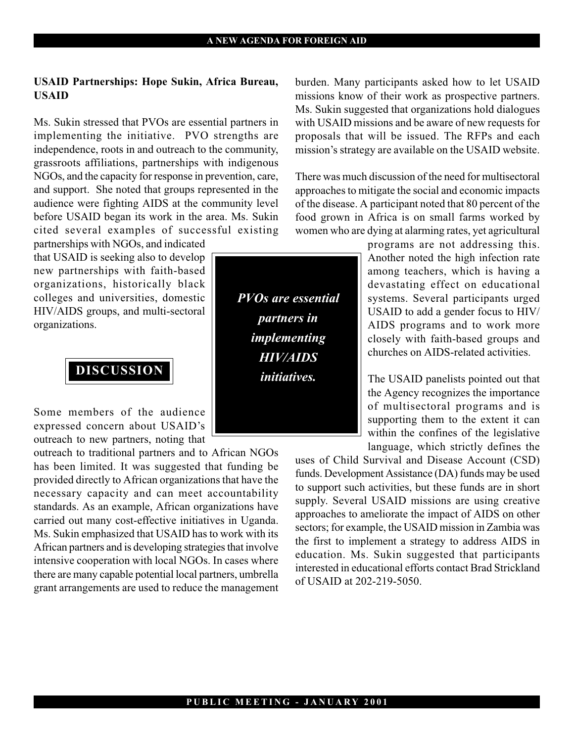#### USAID Partnerships: Hope Sukin, Africa Bureau, USAID

Ms. Sukin stressed that PVOs are essential partners in implementing the initiative. PVO strengths are independence, roots in and outreach to the community, grassroots affiliations, partnerships with indigenous NGOs, and the capacity for response in prevention, care, and support. She noted that groups represented in the audience were fighting AIDS at the community level before USAID began its work in the area. Ms. Sukin cited several examples of successful existing partnerships with NGOs, and indicated

that USAID is seeking also to develop new partnerships with faith-based organizations, historically black colleges and universities, domestic HIV/AIDS groups, and multi-sectoral organizations.

DISCUSSION

Some members of the audience expressed concern about USAID's outreach to new partners, noting that

outreach to traditional partners and to African NGOs has been limited. It was suggested that funding be provided directly to African organizations that have the necessary capacity and can meet accountability standards. As an example, African organizations have carried out many cost-effective initiatives in Uganda. Ms. Sukin emphasized that USAID has to work with its African partners and is developing strategies that involve intensive cooperation with local NGOs. In cases where there are many capable potential local partners, umbrella grant arrangements are used to reduce the management

burden. Many participants asked how to let USAID missions know of their work as prospective partners. Ms. Sukin suggested that organizations hold dialogues with USAID missions and be aware of new requests for proposals that will be issued. The RFPs and each mission's strategy are available on the USAID website.

There was much discussion of the need for multisectoral approaches to mitigate the social and economic impacts of the disease. A participant noted that 80 percent of the food grown in Africa is on small farms worked by women who are dying at alarming rates, yet agricultural

programs are not addressing this. Another noted the high infection rate among teachers, which is having a devastating effect on educational systems. Several participants urged USAID to add a gender focus to HIV/ AIDS programs and to work more closely with faith-based groups and churches on AIDS-related activities.

The USAID panelists pointed out that the Agency recognizes the importance of multisectoral programs and is supporting them to the extent it can within the confines of the legislative language, which strictly defines the

uses of Child Survival and Disease Account (CSD) funds. Development Assistance (DA) funds may be used to support such activities, but these funds are in short supply. Several USAID missions are using creative approaches to ameliorate the impact of AIDS on other sectors; for example, the USAID mission in Zambia was the first to implement a strategy to address AIDS in education. Ms. Sukin suggested that participants interested in educational efforts contact Brad Strickland of USAID at 202-219-5050.

PVOs are essential partners in implementing HIV/AIDS initiatives.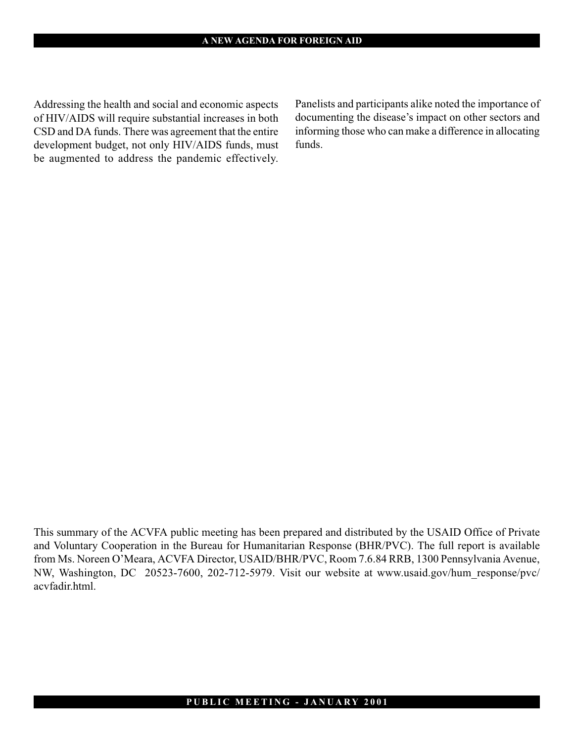Addressing the health and social and economic aspects of HIV/AIDS will require substantial increases in both CSD and DA funds. There was agreement that the entire development budget, not only HIV/AIDS funds, must be augmented to address the pandemic effectively. Panelists and participants alike noted the importance of documenting the disease's impact on other sectors and informing those who can make a difference in allocating funds.

This summary of the ACVFA public meeting has been prepared and distributed by the USAID Office of Private and Voluntary Cooperation in the Bureau for Humanitarian Response (BHR/PVC). The full report is available from Ms. Noreen O'Meara, ACVFA Director, USAID/BHR/PVC, Room 7.6.84 RRB, 1300 Pennsylvania Avenue, NW, Washington, DC 20523-7600, 202-712-5979. Visit our website at www.usaid.gov/hum\_response/pvc/ acvfadir.html.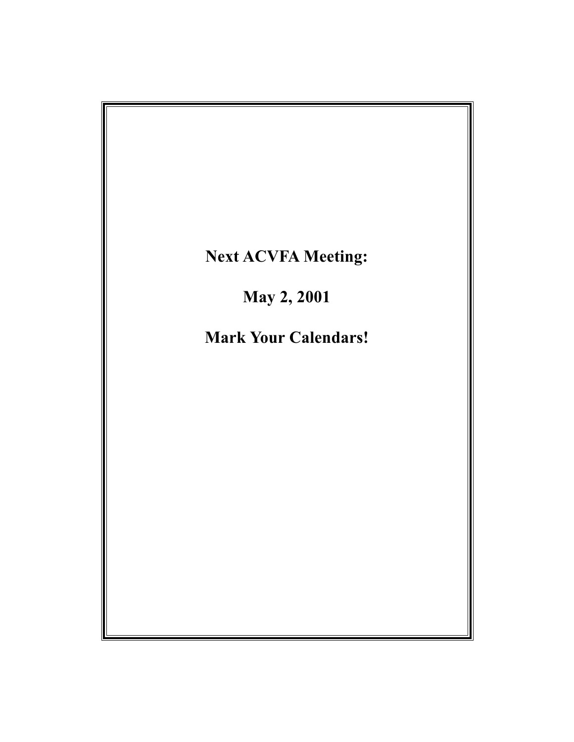